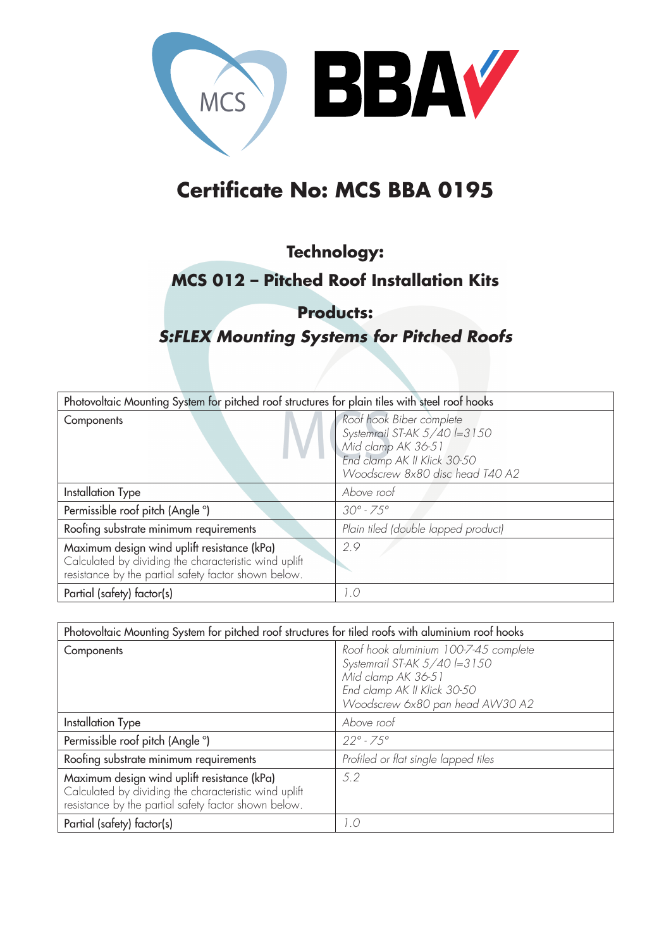

# **Certificate No: MCS BBA 0195**

# **Technology:**

### **MCS 012 – Pitched Roof Installation Kits**

**Products:** 

# *S:FLEX Mounting Systems for Pitched Roofs*

| Photovoltaic Mounting System for pitched roof structures for plain tiles with steel roof hooks                                                               |                                                                                                                                                    |
|--------------------------------------------------------------------------------------------------------------------------------------------------------------|----------------------------------------------------------------------------------------------------------------------------------------------------|
| Components                                                                                                                                                   | Roof hook Biber complete<br>Systemrail ST-AK $5/40$ l=3150<br>Mid clamp AK 36-51<br>End clamp AK II Klick 30-50<br>Woodscrew 8x80 disc head T40 A2 |
| Installation Type                                                                                                                                            | Above roof                                                                                                                                         |
| Permissible roof pitch (Angle °)                                                                                                                             | $30^{\circ} - 75^{\circ}$                                                                                                                          |
| Roofing substrate minimum requirements                                                                                                                       | Plain tiled (double lapped product)                                                                                                                |
| Maximum design wind uplift resistance (kPa)<br>Calculated by dividing the characteristic wind uplift<br>resistance by the partial safety factor shown below. | 2.9                                                                                                                                                |
| Partial (safety) factor(s)                                                                                                                                   | 1.0                                                                                                                                                |

| Photovoltaic Mounting System for pitched roof structures for tiled roofs with aluminium roof hooks                                                           |                                                                                                                                                               |
|--------------------------------------------------------------------------------------------------------------------------------------------------------------|---------------------------------------------------------------------------------------------------------------------------------------------------------------|
| Components                                                                                                                                                   | Roof hook aluminium 100-7-45 complete<br>Systemrail ST-AK 5/40 l=3150<br>Mid clamp AK 36-51<br>End clamp AK II Klick 30-50<br>Woodscrew 6x80 pan head AW30 A2 |
| Installation Type                                                                                                                                            | Above roof                                                                                                                                                    |
| Permissible roof pitch (Angle °)                                                                                                                             | $22^{\circ} - 75^{\circ}$                                                                                                                                     |
| Roofing substrate minimum requirements                                                                                                                       | Profiled or flat single lapped tiles                                                                                                                          |
| Maximum design wind uplift resistance (kPa)<br>Calculated by dividing the characteristic wind uplift<br>resistance by the partial safety factor shown below. | 5.2                                                                                                                                                           |
| Partial (safety) factor(s)                                                                                                                                   | 1.0                                                                                                                                                           |